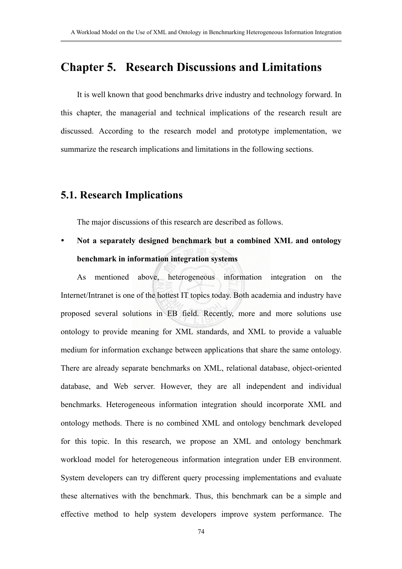## **Chapter 5. Research Discussions and Limitations**

It is well known that good benchmarks drive industry and technology forward. In this chapter, the managerial and technical implications of the research result are discussed. According to the research model and prototype implementation, we summarize the research implications and limitations in the following sections.

### **5.1. Research Implications**

The major discussions of this research are described as follows.

y **Not a separately designed benchmark but a combined XML and ontology benchmark in information integration systems** 

As mentioned above, heterogeneous information integration on the Internet/Intranet is one of the hottest IT topics today. Both academia and industry have proposed several solutions in EB field. Recently, more and more solutions use ontology to provide meaning for XML standards, and XML to provide a valuable medium for information exchange between applications that share the same ontology. There are already separate benchmarks on XML, relational database, object-oriented database, and Web server. However, they are all independent and individual benchmarks. Heterogeneous information integration should incorporate XML and ontology methods. There is no combined XML and ontology benchmark developed for this topic. In this research, we propose an XML and ontology benchmark workload model for heterogeneous information integration under EB environment. System developers can try different query processing implementations and evaluate these alternatives with the benchmark. Thus, this benchmark can be a simple and effective method to help system developers improve system performance. The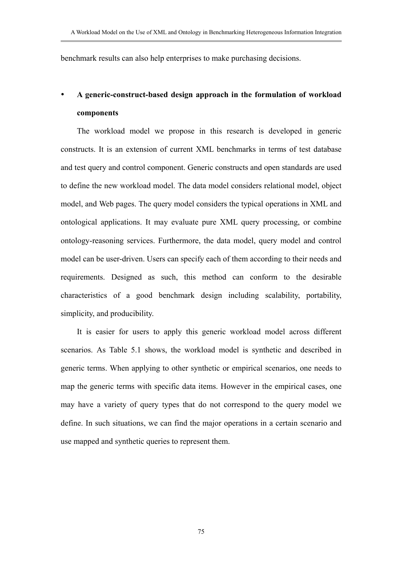benchmark results can also help enterprises to make purchasing decisions.

# A generic-construct-based design approach in the formulation of workload **components**

The workload model we propose in this research is developed in generic constructs. It is an extension of current XML benchmarks in terms of test database and test query and control component. Generic constructs and open standards are used to define the new workload model. The data model considers relational model, object model, and Web pages. The query model considers the typical operations in XML and ontological applications. It may evaluate pure XML query processing, or combine ontology-reasoning services. Furthermore, the data model, query model and control model can be user-driven. Users can specify each of them according to their needs and requirements. Designed as such, this method can conform to the desirable characteristics of a good benchmark design including scalability, portability, simplicity, and producibility.

It is easier for users to apply this generic workload model across different scenarios. As Table 5.1 shows, the workload model is synthetic and described in generic terms. When applying to other synthetic or empirical scenarios, one needs to map the generic terms with specific data items. However in the empirical cases, one may have a variety of query types that do not correspond to the query model we define. In such situations, we can find the major operations in a certain scenario and use mapped and synthetic queries to represent them.

75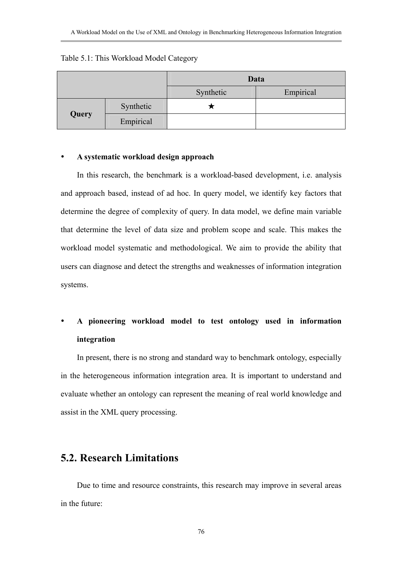#### Table 5.1: This Workload Model Category

|       |           | Data      |           |
|-------|-----------|-----------|-----------|
|       |           | Synthetic | Empirical |
| Query | Synthetic |           |           |
|       | Empirical |           |           |

#### y **A systematic workload design approach**

In this research, the benchmark is a workload-based development, i.e. analysis and approach based, instead of ad hoc. In query model, we identify key factors that determine the degree of complexity of query. In data model, we define main variable that determine the level of data size and problem scope and scale. This makes the workload model systematic and methodological. We aim to provide the ability that users can diagnose and detect the strengths and weaknesses of information integration systems.

## y **A pioneering workload model to test ontology used in information integration**

In present, there is no strong and standard way to benchmark ontology, especially in the heterogeneous information integration area. It is important to understand and evaluate whether an ontology can represent the meaning of real world knowledge and assist in the XML query processing.

### **5.2. Research Limitations**

Due to time and resource constraints, this research may improve in several areas in the future: